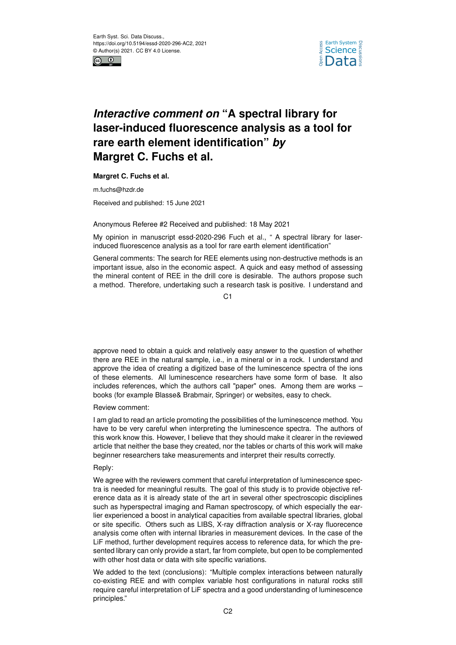



# *Interactive comment on* **"A spectral library for laser-induced fluorescence analysis as a tool for rare earth element identification"** *by* **Margret C. Fuchs et al.**

**Margret C. Fuchs et al.**

m.fuchs@hzdr.de

Received and published: 15 June 2021

## Anonymous Referee #2 Received and published: 18 May 2021

My opinion in manuscript essd-2020-296 Fuch et al., " A spectral library for laserinduced fluorescence analysis as a tool for rare earth element identification"

General comments: The search for REE elements using non-destructive methods is an important issue, also in the economic aspect. A quick and easy method of assessing the mineral content of REE in the drill core is desirable. The authors propose such a method. Therefore, undertaking such a research task is positive. I understand and

 $C<sub>1</sub>$ 

approve need to obtain a quick and relatively easy answer to the question of whether there are REE in the natural sample, i.e., in a mineral or in a rock. I understand and approve the idea of creating a digitized base of the luminescence spectra of the ions of these elements. All luminescence researchers have some form of base. It also includes references, which the authors call "paper" ones. Among them are works – books (for example Blasse& Brabmair, Springer) or websites, easy to check.

Review comment:

I am glad to read an article promoting the possibilities of the luminescence method. You have to be very careful when interpreting the luminescence spectra. The authors of this work know this. However, I believe that they should make it clearer in the reviewed article that neither the base they created, nor the tables or charts of this work will make beginner researchers take measurements and interpret their results correctly.

# Reply:

We agree with the reviewers comment that careful interpretation of luminescence spectra is needed for meaningful results. The goal of this study is to provide objective reference data as it is already state of the art in several other spectroscopic disciplines such as hyperspectral imaging and Raman spectroscopy, of which especially the earlier experienced a boost in analytical capacities from available spectral libraries, global or site specific. Others such as LIBS, X-ray diffraction analysis or X-ray fluorecence analysis come often with internal libraries in measurement devices. In the case of the LiF method, further development requires access to reference data, for which the presented library can only provide a start, far from complete, but open to be complemented with other host data or data with site specific variations.

We added to the text (conclusions): "Multiple complex interactions between naturally co-existing REE and with complex variable host configurations in natural rocks still require careful interpretation of LiF spectra and a good understanding of luminescence principles."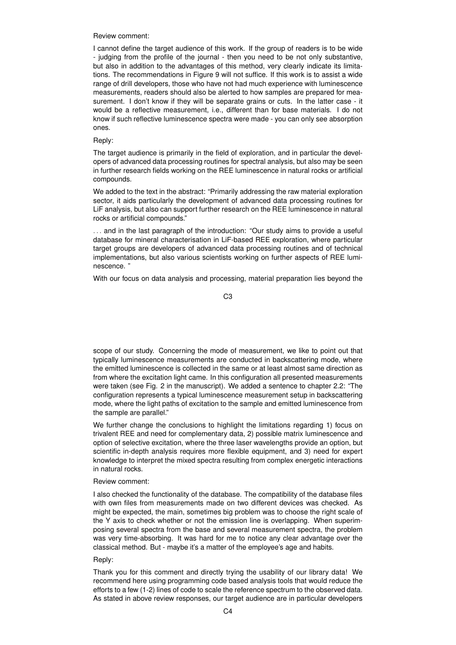#### Review comment:

I cannot define the target audience of this work. If the group of readers is to be wide - judging from the profile of the journal - then you need to be not only substantive, but also in addition to the advantages of this method, very clearly indicate its limitations. The recommendations in Figure 9 will not suffice. If this work is to assist a wide range of drill developers, those who have not had much experience with luminescence measurements, readers should also be alerted to how samples are prepared for measurement. I don't know if they will be separate grains or cuts. In the latter case - it would be a reflective measurement, i.e., different than for base materials. I do not know if such reflective luminescence spectra were made - you can only see absorption ones.

### Reply:

The target audience is primarily in the field of exploration, and in particular the developers of advanced data processing routines for spectral analysis, but also may be seen in further research fields working on the REE luminescence in natural rocks or artificial compounds.

We added to the text in the abstract: "Primarily addressing the raw material exploration sector, it aids particularly the development of advanced data processing routines for LiF analysis, but also can support further research on the REE luminescence in natural rocks or artificial compounds."

... and in the last paragraph of the introduction: "Our study aims to provide a useful database for mineral characterisation in LiF-based REE exploration, where particular target groups are developers of advanced data processing routines and of technical implementations, but also various scientists working on further aspects of REE luminescence. "

With our focus on data analysis and processing, material preparation lies beyond the

C3

scope of our study. Concerning the mode of measurement, we like to point out that typically luminescence measurements are conducted in backscattering mode, where the emitted luminescence is collected in the same or at least almost same direction as from where the excitation light came. In this configuration all presented measurements were taken (see Fig. 2 in the manuscript). We added a sentence to chapter 2.2: "The configuration represents a typical luminescence measurement setup in backscattering mode, where the light paths of excitation to the sample and emitted luminescence from the sample are parallel."

We further change the conclusions to highlight the limitations regarding 1) focus on trivalent REE and need for complementary data, 2) possible matrix luminescence and option of selective excitation, where the three laser wavelengths provide an option, but scientific in-depth analysis requires more flexible equipment, and 3) need for expert knowledge to interpret the mixed spectra resulting from complex energetic interactions in natural rocks.

## Review comment:

I also checked the functionality of the database. The compatibility of the database files with own files from measurements made on two different devices was checked. As might be expected, the main, sometimes big problem was to choose the right scale of the Y axis to check whether or not the emission line is overlapping. When superimposing several spectra from the base and several measurement spectra, the problem was very time-absorbing. It was hard for me to notice any clear advantage over the classical method. But - maybe it's a matter of the employee's age and habits.

#### Reply:

Thank you for this comment and directly trying the usability of our library data! We recommend here using programming code based analysis tools that would reduce the efforts to a few (1-2) lines of code to scale the reference spectrum to the observed data. As stated in above review responses, our target audience are in particular developers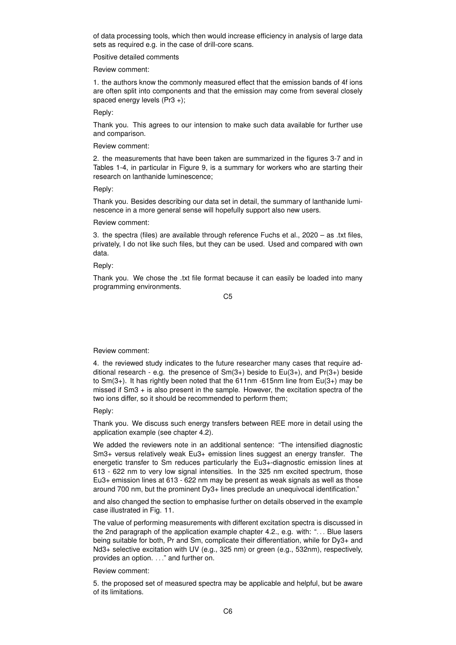of data processing tools, which then would increase efficiency in analysis of large data sets as required e.g. in the case of drill-core scans.

Positive detailed comments

Review comment:

1. the authors know the commonly measured effect that the emission bands of 4f ions are often split into components and that the emission may come from several closely spaced energy levels (Pr3 +);

Reply:

Thank you. This agrees to our intension to make such data available for further use and comparison.

Review comment:

2. the measurements that have been taken are summarized in the figures 3-7 and in Tables 1-4, in particular in Figure 9, is a summary for workers who are starting their research on lanthanide luminescence;

Reply:

Thank you. Besides describing our data set in detail, the summary of lanthanide luminescence in a more general sense will hopefully support also new users.

#### Review comment:

3. the spectra (files) are available through reference Fuchs et al.,  $2020 - as$  .txt files, privately, I do not like such files, but they can be used. Used and compared with own data.

Reply:

Thank you. We chose the .txt file format because it can easily be loaded into many programming environments.

C5

## Review comment:

4. the reviewed study indicates to the future researcher many cases that require additional research - e.g. the presence of  $Sm(3+)$  beside to  $Eu(3+)$ , and  $Pr(3+)$  beside to  $Sm(3+)$ . It has rightly been noted that the 611nm -615nm line from  $Eu(3+)$  may be missed if Sm3 + is also present in the sample. However, the excitation spectra of the two ions differ, so it should be recommended to perform them;

Reply:

Thank you. We discuss such energy transfers between REE more in detail using the application example (see chapter 4.2).

We added the reviewers note in an additional sentence: "The intensified diagnostic Sm3+ versus relatively weak Eu3+ emission lines suggest an energy transfer. The energetic transfer to Sm reduces particularly the Eu3+-diagnostic emission lines at 613 - 622 nm to very low signal intensities. In the 325 nm excited spectrum, those Eu3+ emission lines at 613 - 622 nm may be present as weak signals as well as those around 700 nm, but the prominent Dy3+ lines preclude an unequivocal identification."

and also changed the section to emphasise further on details observed in the example case illustrated in Fig. 11.

The value of performing measurements with different excitation spectra is discussed in the 2nd paragraph of the application example chapter 4.2., e.g. with: "... Blue lasers being suitable for both, Pr and Sm, complicate their differentiation, while for Dy3+ and Nd3+ selective excitation with UV (e.g., 325 nm) or green (e.g., 532nm), respectively, provides an option. . . ." and further on.

Review comment:

5. the proposed set of measured spectra may be applicable and helpful, but be aware of its limitations.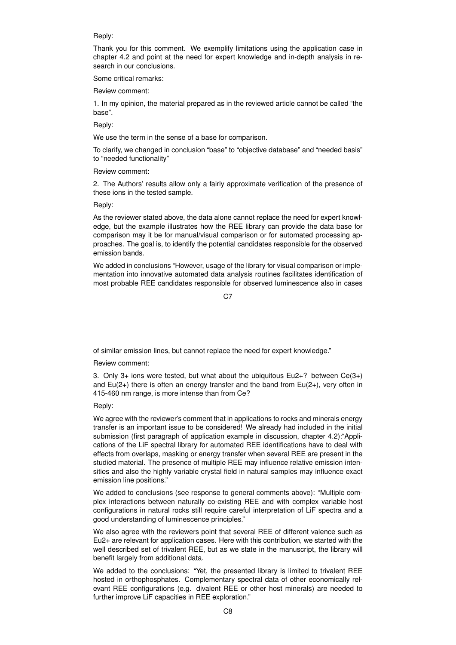### Reply:

Thank you for this comment. We exemplify limitations using the application case in chapter 4.2 and point at the need for expert knowledge and in-depth analysis in research in our conclusions.

Some critical remarks:

Review comment:

1. In my opinion, the material prepared as in the reviewed article cannot be called "the base".

Reply:

We use the term in the sense of a base for comparison.

To clarify, we changed in conclusion "base" to "objective database" and "needed basis" to "needed functionality"

Review comment:

2. The Authors' results allow only a fairly approximate verification of the presence of these ions in the tested sample.

Reply:

As the reviewer stated above, the data alone cannot replace the need for expert knowledge, but the example illustrates how the REE library can provide the data base for comparison may it be for manual/visual comparison or for automated processing approaches. The goal is, to identify the potential candidates responsible for the observed emission bands.

We added in conclusions "However, usage of the library for visual comparison or implementation into innovative automated data analysis routines facilitates identification of most probable REE candidates responsible for observed luminescence also in cases

C<sub>7</sub>

of similar emission lines, but cannot replace the need for expert knowledge."

Review comment:

3. Only 3+ ions were tested, but what about the ubiquitous Eu2+? between Ce(3+) and  $Eu(2+)$  there is often an energy transfer and the band from  $Eu(2+)$ , very often in 415-460 nm range, is more intense than from Ce?

Reply:

We agree with the reviewer's comment that in applications to rocks and minerals energy transfer is an important issue to be considered! We already had included in the initial submission (first paragraph of application example in discussion, chapter 4.2):"Applications of the LiF spectral library for automated REE identifications have to deal with effects from overlaps, masking or energy transfer when several REE are present in the studied material. The presence of multiple REE may influence relative emission intensities and also the highly variable crystal field in natural samples may influence exact emission line positions."

We added to conclusions (see response to general comments above): "Multiple complex interactions between naturally co-existing REE and with complex variable host configurations in natural rocks still require careful interpretation of LiF spectra and a good understanding of luminescence principles."

We also agree with the reviewers point that several REE of different valence such as Eu2+ are relevant for application cases. Here with this contribution, we started with the well described set of trivalent REE, but as we state in the manuscript, the library will benefit largely from additional data.

We added to the conclusions: "Yet, the presented library is limited to trivalent REE hosted in orthophosphates. Complementary spectral data of other economically relevant REE configurations (e.g. divalent REE or other host minerals) are needed to further improve LiF capacities in REE exploration."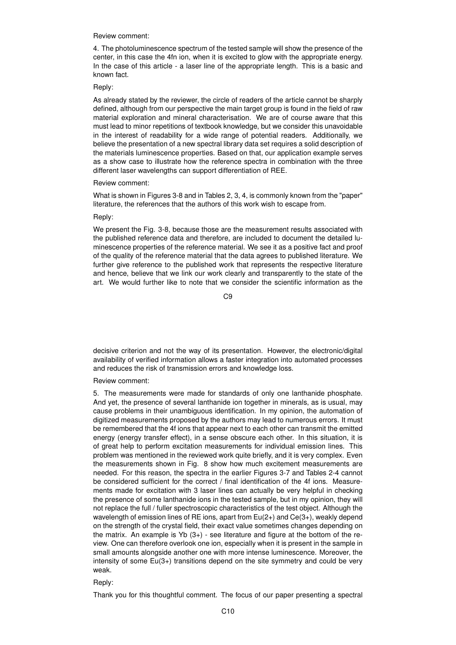Review comment:

4. The photoluminescence spectrum of the tested sample will show the presence of the center, in this case the 4fn ion, when it is excited to glow with the appropriate energy. In the case of this article - a laser line of the appropriate length. This is a basic and known fact.

#### Reply:

As already stated by the reviewer, the circle of readers of the article cannot be sharply defined, although from our perspective the main target group is found in the field of raw material exploration and mineral characterisation. We are of course aware that this must lead to minor repetitions of textbook knowledge, but we consider this unavoidable in the interest of readability for a wide range of potential readers. Additionally, we believe the presentation of a new spectral library data set requires a solid description of the materials luminescence properties. Based on that, our application example serves as a show case to illustrate how the reference spectra in combination with the three different laser wavelengths can support differentiation of REE.

#### Review comment:

What is shown in Figures 3-8 and in Tables 2, 3, 4, is commonly known from the "paper" literature, the references that the authors of this work wish to escape from.

# Reply:

We present the Fig. 3-8, because those are the measurement results associated with the published reference data and therefore, are included to document the detailed luminescence properties of the reference material. We see it as a positive fact and proof of the quality of the reference material that the data agrees to published literature. We further give reference to the published work that represents the respective literature and hence, believe that we link our work clearly and transparently to the state of the art. We would further like to note that we consider the scientific information as the

C9

decisive criterion and not the way of its presentation. However, the electronic/digital availability of verified information allows a faster integration into automated processes and reduces the risk of transmission errors and knowledge loss.

Review comment:

5. The measurements were made for standards of only one lanthanide phosphate. And yet, the presence of several lanthanide ion together in minerals, as is usual, may cause problems in their unambiguous identification. In my opinion, the automation of digitized measurements proposed by the authors may lead to numerous errors. It must be remembered that the 4f ions that appear next to each other can transmit the emitted energy (energy transfer effect), in a sense obscure each other. In this situation, it is of great help to perform excitation measurements for individual emission lines. This problem was mentioned in the reviewed work quite briefly, and it is very complex. Even the measurements shown in Fig. 8 show how much excitement measurements are needed. For this reason, the spectra in the earlier Figures 3-7 and Tables 2-4 cannot be considered sufficient for the correct / final identification of the 4f ions. Measurements made for excitation with 3 laser lines can actually be very helpful in checking the presence of some lanthanide ions in the tested sample, but in my opinion, they will not replace the full / fuller spectroscopic characteristics of the test object. Although the wavelength of emission lines of RE ions, apart from  $Eu(2+)$  and  $Ce(3+)$ , weakly depend on the strength of the crystal field, their exact value sometimes changes depending on the matrix. An example is Yb  $(3+)$  - see literature and figure at the bottom of the review. One can therefore overlook one ion, especially when it is present in the sample in small amounts alongside another one with more intense luminescence. Moreover, the intensity of some Eu(3+) transitions depend on the site symmetry and could be very weak.

## Reply:

Thank you for this thoughtful comment. The focus of our paper presenting a spectral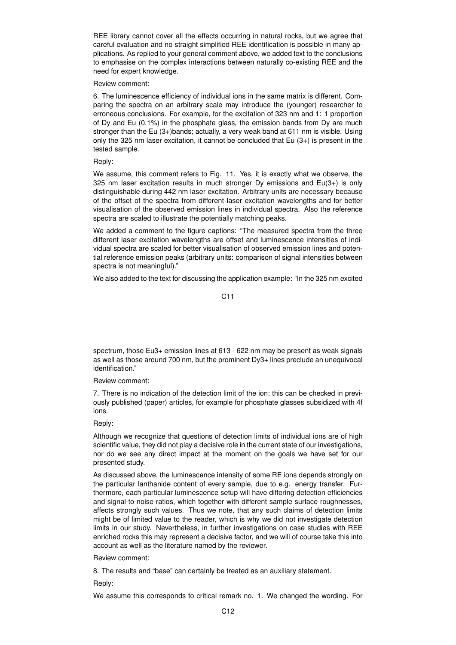REE library cannot cover all the effects occurring in natural rocks, but we agree that careful evaluation and no straight simplified REE identification is possible in many applications. As replied to your general comment above, we added text to the conclusions to emphasise on the complex interactions between naturally co-existing REE and the need for expert knowledge.

Review comment:

6. The luminescence efficiency of individual ions in the same matrix is different. Comparing the spectra on an arbitrary scale may introduce the (younger) researcher to erroneous conclusions. For example, for the excitation of 323 nm and 1: 1 proportion of Dy and Eu (0.1%) in the phosphate glass, the emission bands from Dy are much stronger than the Eu (3+)bands; actually, a very weak band at 611 nm is visible. Using only the 325 nm laser excitation, it cannot be concluded that  $Eu(3+)$  is present in the tested sample.

# Reply:

We assume, this comment refers to Fig. 11. Yes, it is exactly what we observe, the 325 nm laser excitation results in much stronger Dy emissions and Eu(3+) is only distinguishable during 442 nm laser excitation. Arbitrary units are necessary because of the offset of the spectra from different laser excitation wavelengths and for better visualisation of the observed emission lines in individual spectra. Also the reference spectra are scaled to illustrate the potentially matching peaks.

We added a comment to the figure captions: "The measured spectra from the three different laser excitation wavelengths are offset and luminescence intensities of individual spectra are scaled for better visualisation of observed emission lines and potential reference emission peaks (arbitrary units: comparison of signal intensities between spectra is not meaningful)."

We also added to the text for discussing the application example: "In the 325 nm excited

C11

spectrum, those Eu3+ emission lines at 613 - 622 nm may be present as weak signals as well as those around 700 nm, but the prominent Dy3+ lines preclude an unequivocal identification."

Review comment:

7. There is no indication of the detection limit of the ion; this can be checked in previously published (paper) articles, for example for phosphate glasses subsidized with 4f ions.

Reply:

Although we recognize that questions of detection limits of individual ions are of high scientific value, they did not play a decisive role in the current state of our investigations, nor do we see any direct impact at the moment on the goals we have set for our presented study.

As discussed above, the luminescence intensity of some RE ions depends strongly on the particular lanthanide content of every sample, due to e.g. energy transfer. Furthermore, each particular luminescence setup will have differing detection efficiencies and signal-to-noise-ratios, which together with different sample surface roughnesses, affects strongly such values. Thus we note, that any such claims of detection limits might be of limited value to the reader, which is why we did not investigate detection limits in our study. Nevertheless, in further investigations on case studies with REE enriched rocks this may represent a decisive factor, and we will of course take this into account as well as the literature named by the reviewer.

Review comment:

8. The results and "base" can certainly be treated as an auxiliary statement.

Reply:

We assume this corresponds to critical remark no. 1. We changed the wording. For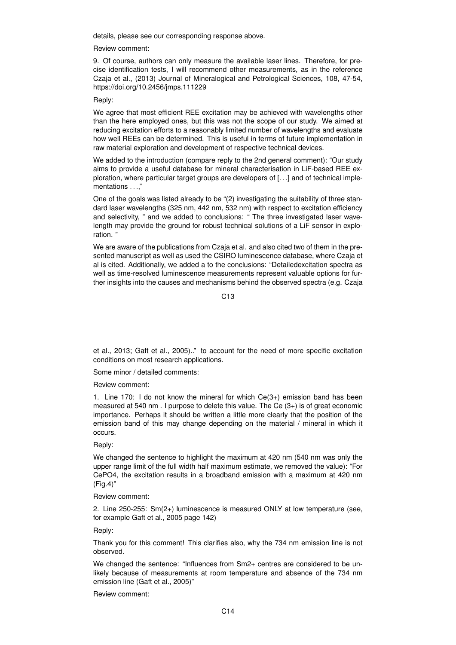details, please see our corresponding response above.

Review comment:

9. Of course, authors can only measure the available laser lines. Therefore, for precise identification tests, I will recommend other measurements, as in the reference Czaja et al., (2013) Journal of Mineralogical and Petrological Sciences, 108, 47-54, https://doi.org/10.2456/jmps.111229

# Reply:

We agree that most efficient REE excitation may be achieved with wavelengths other than the here employed ones, but this was not the scope of our study. We aimed at reducing excitation efforts to a reasonably limited number of wavelengths and evaluate how well REEs can be determined. This is useful in terms of future implementation in raw material exploration and development of respective technical devices.

We added to the introduction (compare reply to the 2nd general comment): "Our study aims to provide a useful database for mineral characterisation in LiF-based REE exploration, where particular target groups are developers of [. . .] and of technical implementations . . ."

One of the goals was listed already to be "(2) investigating the suitability of three standard laser wavelengths (325 nm, 442 nm, 532 nm) with respect to excitation efficiency and selectivity, " and we added to conclusions: " The three investigated laser wavelength may provide the ground for robust technical solutions of a LiF sensor in exploration. "

We are aware of the publications from Czaja et al. and also cited two of them in the presented manuscript as well as used the CSIRO luminescence database, where Czaja et al is cited. Additionally, we added a to the conclusions: "Detailedexcitation spectra as well as time-resolved luminescence measurements represent valuable options for further insights into the causes and mechanisms behind the observed spectra (e.g. Czaja

C13

et al., 2013; Gaft et al., 2005).." to account for the need of more specific excitation conditions on most research applications.

Some minor / detailed comments:

Review comment:

1. Line 170: I do not know the mineral for which Ce(3+) emission band has been measured at 540 nm . I purpose to delete this value. The Ce (3+) is of great economic importance. Perhaps it should be written a little more clearly that the position of the emission band of this may change depending on the material / mineral in which it occurs.

Reply:

We changed the sentence to highlight the maximum at 420 nm (540 nm was only the upper range limit of the full width half maximum estimate, we removed the value): "For CePO4, the excitation results in a broadband emission with a maximum at 420 nm (Fig.4)"

Review comment:

2. Line 250-255: Sm(2+) luminescence is measured ONLY at low temperature (see, for example Gaft et al., 2005 page 142)

Reply:

Thank you for this comment! This clarifies also, why the 734 nm emission line is not observed.

We changed the sentence: "Influences from Sm2+ centres are considered to be unlikely because of measurements at room temperature and absence of the 734 nm emission line (Gaft et al., 2005)"

Review comment: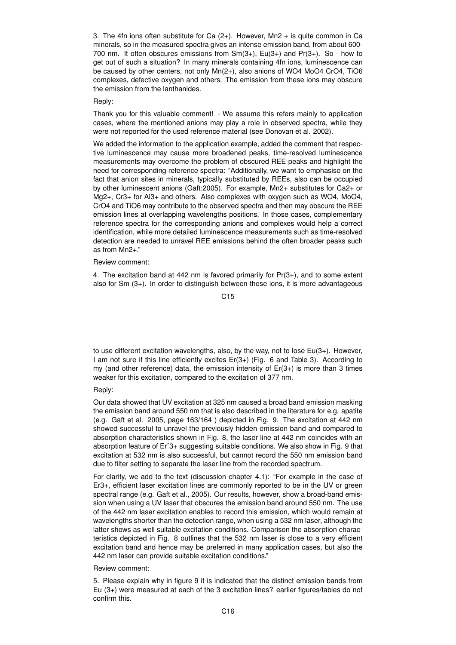3. The 4fn ions often substitute for Ca  $(2+)$ . However, Mn2 + is quite common in Ca minerals, so in the measured spectra gives an intense emission band, from about 600- 700 nm. It often obscures emissions from  $Sm(3+)$ , Eu(3+) and Pr(3+). So - how to get out of such a situation? In many minerals containing 4fn ions, luminescence can be caused by other centers, not only Mn(2+), also anions of WO4 MoO4 CrO4, TiO6 complexes, defective oxygen and others. The emission from these ions may obscure the emission from the lanthanides.

# Reply:

Thank you for this valuable comment! - We assume this refers mainly to application cases, where the mentioned anions may play a role in observed spectra, while they were not reported for the used reference material (see Donovan et al. 2002).

We added the information to the application example, added the comment that respective luminescence may cause more broadened peaks, time-resolved luminescence measurements may overcome the problem of obscured REE peaks and highlight the need for corresponding reference spectra: "Additionally, we want to emphasise on the fact that anion sites in minerals, typically substituted by REEs, also can be occupied by other luminescent anions (Gaft:2005). For example, Mn2+ substitutes for Ca2+ or Mg2+, Cr3+ for Al3+ and others. Also complexes with oxygen such as WO4, MoO4, CrO4 and TiO6 may contribute to the observed spectra and then may obscure the REE emission lines at overlapping wavelengths positions. In those cases, complementary reference spectra for the corresponding anions and complexes would help a correct identification, while more detailed luminescence measurements such as time-resolved detection are needed to unravel REE emissions behind the often broader peaks such as from Mn2+."

#### Review comment:

4. The excitation band at 442 nm is favored primarily for Pr(3+), and to some extent also for Sm (3+). In order to distinguish between these ions, it is more advantageous

#### C<sub>15</sub>

to use different excitation wavelengths, also, by the way, not to lose  $Eu(3+)$ . However, I am not sure if this line efficiently excites Er(3+) (Fig. 6 and Table 3). According to my (and other reference) data, the emission intensity of Er(3+) is more than 3 times weaker for this excitation, compared to the excitation of 377 nm.

## Reply:

Our data showed that UV excitation at 325 nm caused a broad band emission masking the emission band around 550 nm that is also described in the literature for e.g. apatite (e.g. Gaft et al. 2005, page 163/164 ) depicted in Fig. 9. The excitation at 442 nm showed successful to unravel the previously hidden emission band and compared to absorption characteristics shown in Fig. 8, the laser line at 442 nm coincides with an absorption feature of Erˆ3+ suggesting suitable conditions. We also show in Fig. 9 that excitation at 532 nm is also successful, but cannot record the 550 nm emission band due to filter setting to separate the laser line from the recorded spectrum.

For clarity, we add to the text (discussion chapter 4.1): "For example in the case of Er3+, efficient laser excitation lines are commonly reported to be in the UV or green spectral range (e.g. Gaft et al., 2005). Our results, however, show a broad-band emission when using a UV laser that obscures the emission band around 550 nm. The use of the 442 nm laser excitation enables to record this emission, which would remain at wavelengths shorter than the detection range, when using a 532 nm laser, although the latter shows as well suitable excitation conditions. Comparison the absorption characteristics depicted in Fig. 8 outlines that the 532 nm laser is close to a very efficient excitation band and hence may be preferred in many application cases, but also the 442 nm laser can provide suitable excitation conditions."

#### Review comment:

5. Please explain why in figure 9 it is indicated that the distinct emission bands from Eu (3+) were measured at each of the 3 excitation lines? earlier figures/tables do not confirm this.